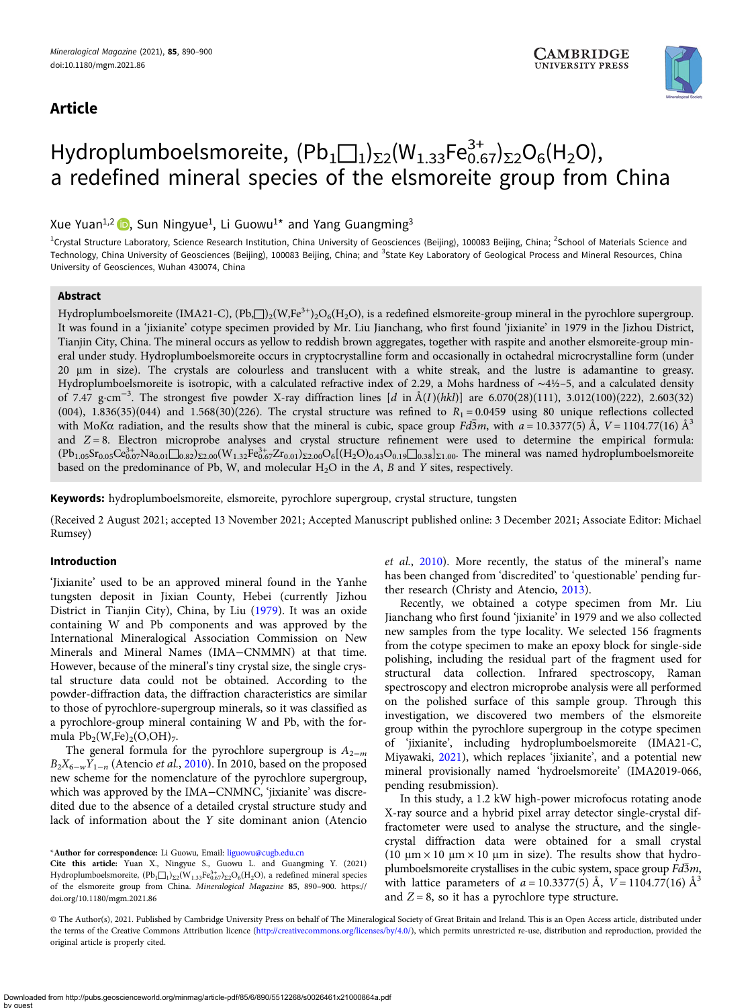# Article



# Hydroplumboelsmoreite,  $(Pb_1\Box_1)_{\Sigma 2} (W_{1.33}Fe_{0.67}^{3+})_{\Sigma 2} O_6(H_2O),$ a redefined mineral species of the elsmoreite group from China

# Xue Yuan<sup>1[,](https://orcid.org/0000-0001-9357-2750)2</sup> **D**, Sun Ningyue<sup>1</sup>, Li Guowu<sup>1\*</sup> and Yang Guangming<sup>3</sup>

<sup>1</sup>Crystal Structure Laboratory, Science Research Institution, China University of Geosciences (Beijing), 100083 Beijing, China; <sup>2</sup>School of Materials Science and Technology, China University of Geosciences (Beijing), 100083 Beijing, China; and <sup>3</sup>State Key Laboratory of Geological Process and Mineral Resources, China University of Geosciences, Wuhan 430074, China

# Abstract

Hydroplumboelsmoreite (IMA21-C),  $(Pb, \Box)_{2} (W, Fe^{3+})_{2} O_{6}(H_{2}O)$ , is a redefined elsmoreite-group mineral in the pyrochlore supergroup. It was found in a 'jixianite' cotype specimen provided by Mr. Liu Jianchang, who first found 'jixianite' in 1979 in the Jizhou District, Tianjin City, China. The mineral occurs as yellow to reddish brown aggregates, together with raspite and another elsmoreite-group mineral under study. Hydroplumboelsmoreite occurs in cryptocrystalline form and occasionally in octahedral microcrystalline form (under 20 μm in size). The crystals are colourless and translucent with a white streak, and the lustre is adamantine to greasy. Hydroplumboelsmoreite is isotropic, with a calculated refractive index of 2.29, a Mohs hardness of ∼4½–5, and a calculated density of 7.47 g⋅cm<sup>-3</sup>. The strongest five powder X-ray diffraction lines [d in Å(I)(hkl)] are 6.070(28)(111), 3.012(100)(222), 2.603(32) (004), 1.836(35)(044) and 1.568(30)(226). The crystal structure was refined to  $R_1 = 0.0459$  using 80 unique reflections collected with MoK $\alpha$  radiation, and the results show that the mineral is cubic, space group Fd3m, with  $a = 10.3377(5)$  Å,  $V = 1104.77(16)$  Å<sup>3</sup> and  $Z = 8$ . Electron microprobe analyses and crystal structure refinement were used to determine the empirical formula:  $(Pb_{1.05}Sr_{0.05}Ce_{0.07}^{3+}Na_{0.01}\square_{0.82})_{\Sigma2.00}(W_{1.32}Fe_{0.67}^{3+}Zr_{0.01})_{\Sigma2.00}O_6[(H_2O)_{0.43}O_{0.19}\square_{0.38}]_{\Sigma1.00}$ . The mineral was named hydroplumboelsmoreite based on the predominance of Pb, W, and molecular  $H_2O$  in the A, B and Y sites, respectively.

Keywords: hydroplumboelsmoreite, elsmoreite, pyrochlore supergroup, crystal structure, tungsten

(Received 2 August 2021; accepted 13 November 2021; Accepted Manuscript published online: 3 December 2021; Associate Editor: Michael Rumsey)

# Introduction

'Jixianite' used to be an approved mineral found in the Yanhe tungsten deposit in Jixian County, Hebei (currently Jizhou District in Tianjin City), China, by Liu ([1979](#page-10-0)). It was an oxide containing W and Pb components and was approved by the International Mineralogical Association Commission on New Minerals and Mineral Names (IMA−CNMMN) at that time. However, because of the mineral's tiny crystal size, the single crystal structure data could not be obtained. According to the powder-diffraction data, the diffraction characteristics are similar to those of pyrochlore-supergroup minerals, so it was classified as a pyrochlore-group mineral containing W and Pb, with the formula  $Pb_2(W,Fe)_2(O,OH)_7$ .

The general formula for the pyrochlore supergroup is  $A_{2-m}$  $B_2X_{6-w}Y_{1-n}$  (Atencio et al., [2010](#page-10-0)). In 2010, based on the proposed new scheme for the nomenclature of the pyrochlore supergroup, which was approved by the IMA−CNMNC, 'jixianite' was discredited due to the absence of a detailed crystal structure study and lack of information about the Y site dominant anion (Atencio

\*Author for correspondence: Li Guowu, Email: [liguowu@cugb.edu.cn](mailto:liguowu@cugb.edu.cn)

et al., [2010\)](#page-10-0). More recently, the status of the mineral's name has been changed from 'discredited' to 'questionable' pending further research (Christy and Atencio, [2013\)](#page-10-0).

Recently, we obtained a cotype specimen from Mr. Liu Jianchang who first found 'jixianite' in 1979 and we also collected new samples from the type locality. We selected 156 fragments from the cotype specimen to make an epoxy block for single-side polishing, including the residual part of the fragment used for structural data collection. Infrared spectroscopy, Raman spectroscopy and electron microprobe analysis were all performed on the polished surface of this sample group. Through this investigation, we discovered two members of the elsmoreite group within the pyrochlore supergroup in the cotype specimen of 'jixianite', including hydroplumboelsmoreite (IMA21-C, Miyawaki, [2021\)](#page-10-0), which replaces 'jixianite', and a potential new mineral provisionally named 'hydroelsmoreite' (IMA2019-066, pending resubmission).

In this study, a 1.2 kW high-power microfocus rotating anode X-ray source and a hybrid pixel array detector single-crystal diffractometer were used to analyse the structure, and the singlecrystal diffraction data were obtained for a small crystal (10  $\mu$ m × 10  $\mu$ m × 10  $\mu$ m in size). The results show that hydroplumboelsmoreite crystallises in the cubic system, space group  $Fd\overline{3}m$ , with lattice parameters of  $a = 10.3377(5)$  Å,  $V = 1104.77(16)$  Å<sup>3</sup> and  $Z = 8$ , so it has a pyrochlore type structure.

© The Author(s), 2021. Published by Cambridge University Press on behalf of The Mineralogical Society of Great Britain and Ireland. This is an Open Access article, distributed under the terms of the Creative Commons Attribution licence ([http://creativecommons.org/licenses/by/4.0/\)](http://creativecommons.org/licenses/by/4.0/), which permits unrestricted re-use, distribution and reproduction, provided the original article is properly cited.

Cite this article: Yuan X., Ningyue S., Guowu L. and Guangming Y. (2021) Hydroplumboelsmoreite,  $(Pb_1 \Box_1)_{\Sigma 2} (W_{1.33} Fe_{0.67}^{3+})_{\Sigma 2} O_6 (H_2 O)$ , a redefined mineral species of the elsmoreite group from China. Mineralogical Magazine 85, 890–900. [https://](https://doi.org/10.1180/mgm.2021.86) [doi.org/10.1180/mgm.2021.86](https://doi.org/10.1180/mgm.2021.86)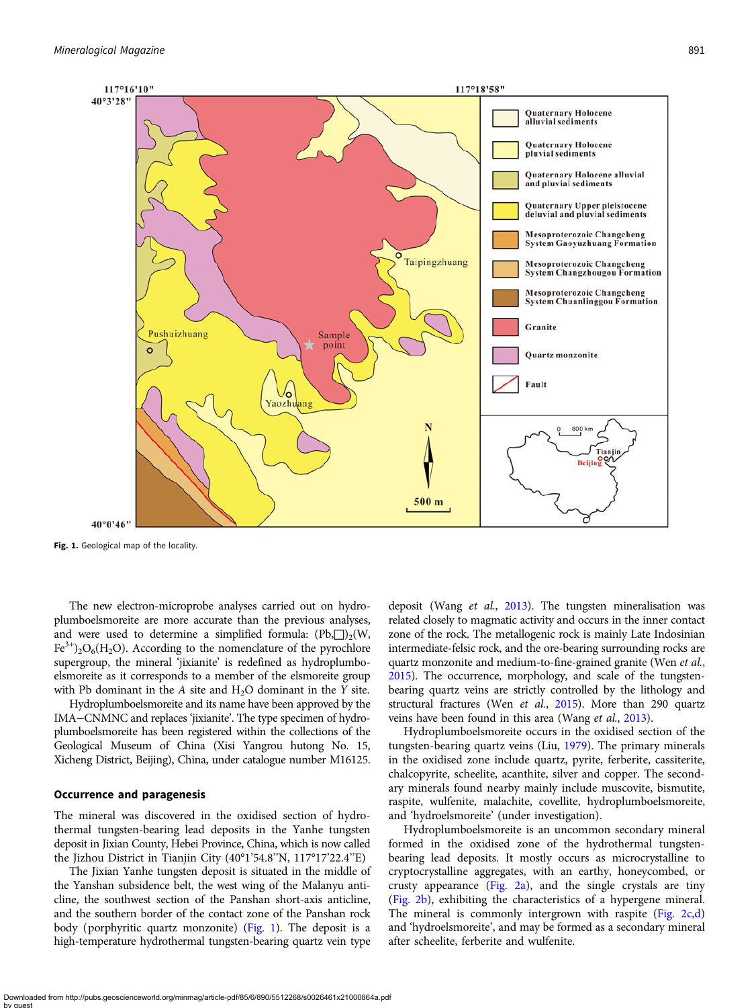

Fig. 1. Geological map of the locality.

The new electron-microprobe analyses carried out on hydroplumboelsmoreite are more accurate than the previous analyses, and were used to determine a simplified formula:  $(Pb,\Box)_{2}(W,$  $Fe^{3+}$ )<sub>2</sub>O<sub>6</sub>(H<sub>2</sub>O). According to the nomenclature of the pyrochlore supergroup, the mineral 'jixianite' is redefined as hydroplumboelsmoreite as it corresponds to a member of the elsmoreite group with Pb dominant in the  $A$  site and  $H_2O$  dominant in the  $Y$  site.

Hydroplumboelsmoreite and its name have been approved by the IMA−CNMNC and replaces 'jixianite'. The type specimen of hydroplumboelsmoreite has been registered within the collections of the Geological Museum of China (Xisi Yangrou hutong No. 15, Xicheng District, Beijing), China, under catalogue number M16125.

#### Occurrence and paragenesis

The mineral was discovered in the oxidised section of hydrothermal tungsten-bearing lead deposits in the Yanhe tungsten deposit in Jixian County, Hebei Province, China, which is now called the Jizhou District in Tianjin City (40°1'54.8''N, 117°17'22.4''E)

The Jixian Yanhe tungsten deposit is situated in the middle of the Yanshan subsidence belt, the west wing of the Malanyu anticline, the southwest section of the Panshan short-axis anticline, and the southern border of the contact zone of the Panshan rock body (porphyritic quartz monzonite) (Fig. 1). The deposit is a high-temperature hydrothermal tungsten-bearing quartz vein type

deposit (Wang et al., [2013\)](#page-10-0). The tungsten mineralisation was related closely to magmatic activity and occurs in the inner contact zone of the rock. The metallogenic rock is mainly Late Indosinian intermediate-felsic rock, and the ore-bearing surrounding rocks are quartz monzonite and medium-to-fine-grained granite (Wen et al., [2015\)](#page-10-0). The occurrence, morphology, and scale of the tungstenbearing quartz veins are strictly controlled by the lithology and structural fractures (Wen et al., [2015](#page-10-0)). More than 290 quartz veins have been found in this area (Wang et al., [2013\)](#page-10-0).

Hydroplumboelsmoreite occurs in the oxidised section of the tungsten-bearing quartz veins (Liu, [1979\)](#page-10-0). The primary minerals in the oxidised zone include quartz, pyrite, ferberite, cassiterite, chalcopyrite, scheelite, acanthite, silver and copper. The secondary minerals found nearby mainly include muscovite, bismutite, raspite, wulfenite, malachite, covellite, hydroplumboelsmoreite, and 'hydroelsmoreite' (under investigation).

Hydroplumboelsmoreite is an uncommon secondary mineral formed in the oxidised zone of the hydrothermal tungstenbearing lead deposits. It mostly occurs as microcrystalline to cryptocrystalline aggregates, with an earthy, honeycombed, or crusty appearance [\(Fig. 2a](#page-2-0)), and the single crystals are tiny [\(Fig. 2b\)](#page-2-0), exhibiting the characteristics of a hypergene mineral. The mineral is commonly intergrown with raspite ([Fig. 2c,d](#page-2-0)) and 'hydroelsmoreite', and may be formed as a secondary mineral after scheelite, ferberite and wulfenite.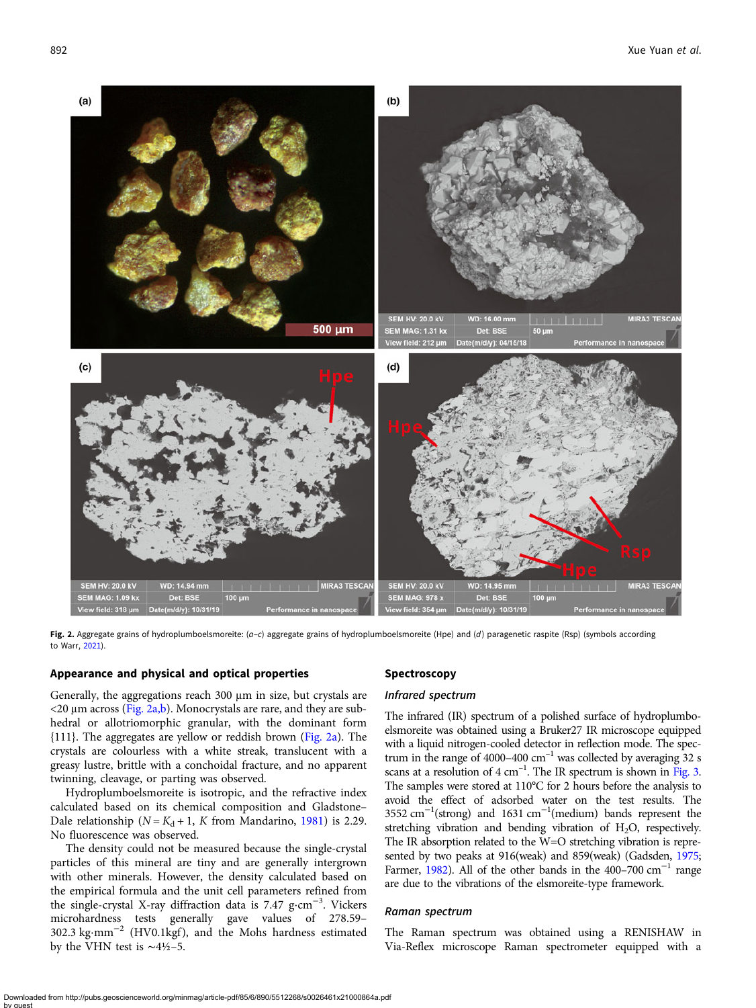<span id="page-2-0"></span>

Fig. 2. Aggregate grains of hydroplumboelsmoreite:  $(a-c)$  aggregate grains of hydroplumboelsmoreite (Hpe) and (d) paragenetic raspite (Rsp) (symbols according to Warr, [2021\)](#page-10-0).

#### Appearance and physical and optical properties

Generally, the aggregations reach 300 μm in size, but crystals are <20 μm across (Fig. 2a,b). Monocrystals are rare, and they are subhedral or allotriomorphic granular, with the dominant form {111}. The aggregates are yellow or reddish brown (Fig. 2a). The crystals are colourless with a white streak, translucent with a greasy lustre, brittle with a conchoidal fracture, and no apparent twinning, cleavage, or parting was observed.

Hydroplumboelsmoreite is isotropic, and the refractive index calculated based on its chemical composition and Gladstone– Dale relationship ( $N = K_d + 1$ , K from Mandarino, [1981](#page-10-0)) is 2.29. No fluorescence was observed.

The density could not be measured because the single-crystal particles of this mineral are tiny and are generally intergrown with other minerals. However, the density calculated based on the empirical formula and the unit cell parameters refined from the single-crystal X-ray diffraction data is 7.47 g⋅cm<sup>-3</sup>. Vickers microhardness tests generally gave values of 278.59– 302.3 kg⋅mm<sup>-2</sup> (HV0.1kgf), and the Mohs hardness estimated by the VHN test is  $\sim$ 4½–5.

# Spectroscopy

# Infrared spectrum

The infrared (IR) spectrum of a polished surface of hydroplumboelsmoreite was obtained using a Bruker27 IR microscope equipped with a liquid nitrogen-cooled detector in reflection mode. The spectrum in the range of 4000–400  $\text{cm}^{-1}$  was collected by averaging 32 s scans at a resolution of 4 cm<sup>-1</sup>. The IR spectrum is shown in [Fig. 3.](#page-3-0) The samples were stored at 110°C for 2 hours before the analysis to avoid the effect of adsorbed water on the test results. The 3552 cm<sup>-1</sup>(strong) and 1631 cm<sup>-1</sup>(medium) bands represent the stretching vibration and bending vibration of  $H_2O$ , respectively. The IR absorption related to the W=O stretching vibration is repre-sented by two peaks at 916(weak) and 859(weak) (Gadsden, [1975;](#page-10-0) Farmer, [1982\)](#page-10-0). All of the other bands in the 400–700 cm<sup>-1</sup> range are due to the vibrations of the elsmoreite-type framework.

#### Raman spectrum

The Raman spectrum was obtained using a RENISHAW in Via-Reflex microscope Raman spectrometer equipped with a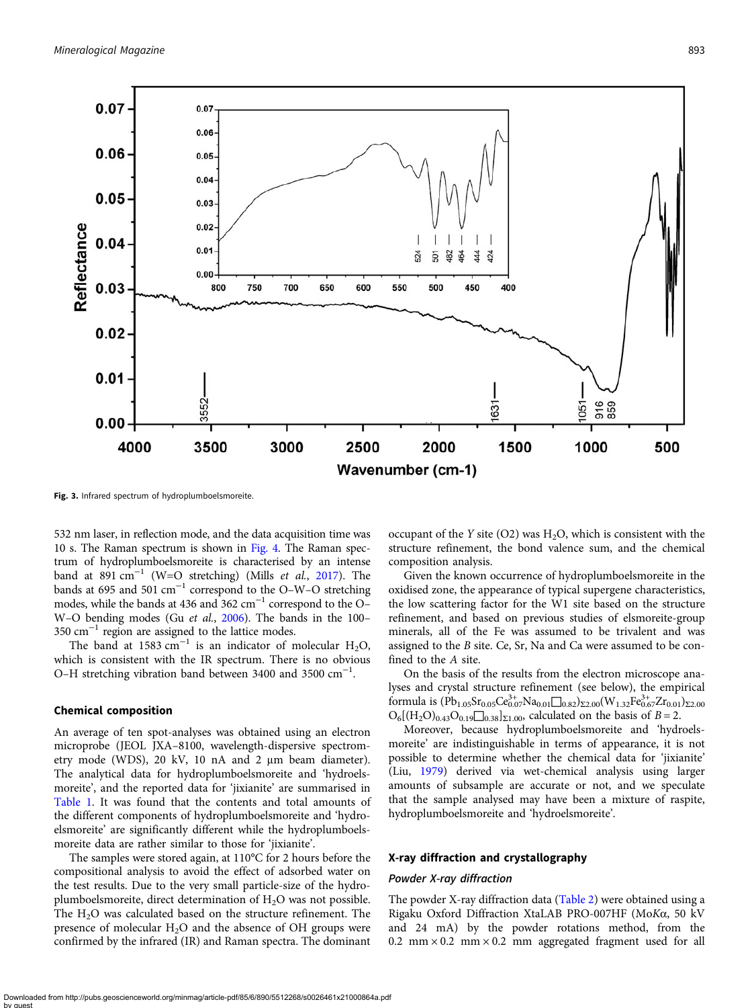<span id="page-3-0"></span>

Fig. 3. Infrared spectrum of hydroplumboelsmoreite.

532 nm laser, in reflection mode, and the data acquisition time was 10 s. The Raman spectrum is shown in [Fig. 4](#page-4-0). The Raman spectrum of hydroplumboelsmoreite is characterised by an intense band at 891 cm<sup>-1</sup> (W=O stretching) (Mills *et al.*, [2017\)](#page-10-0). The bands at 695 and 501 cm−<sup>1</sup> correspond to the O–W–O stretching modes, while the bands at 436 and 362 cm−<sup>1</sup> correspond to the O– W–O bending modes (Gu et al., [2006](#page-10-0)). The bands in the 100–  $350 \text{ cm}^{-1}$  region are assigned to the lattice modes.

The band at 1583 cm<sup>-1</sup> is an indicator of molecular H<sub>2</sub>O, which is consistent with the IR spectrum. There is no obvious O–H stretching vibration band between 3400 and 3500 cm<sup>-1</sup>.

#### Chemical composition

An average of ten spot-analyses was obtained using an electron microprobe (JEOL JXA–8100, wavelength-dispersive spectrometry mode (WDS), 20 kV, 10 nA and 2 μm beam diameter). The analytical data for hydroplumboelsmoreite and 'hydroelsmoreite', and the reported data for 'jixianite' are summarised in [Table 1](#page-4-0). It was found that the contents and total amounts of the different components of hydroplumboelsmoreite and 'hydroelsmoreite' are significantly different while the hydroplumboelsmoreite data are rather similar to those for 'jixianite'.

The samples were stored again, at 110°C for 2 hours before the compositional analysis to avoid the effect of adsorbed water on the test results. Due to the very small particle-size of the hydroplumboelsmoreite, direct determination of  $H_2O$  was not possible. The H2O was calculated based on the structure refinement. The presence of molecular  $H_2O$  and the absence of OH groups were confirmed by the infrared (IR) and Raman spectra. The dominant

occupant of the Y site  $(O2)$  was  $H<sub>2</sub>O$ , which is consistent with the structure refinement, the bond valence sum, and the chemical composition analysis.

Given the known occurrence of hydroplumboelsmoreite in the oxidised zone, the appearance of typical supergene characteristics, the low scattering factor for the W1 site based on the structure refinement, and based on previous studies of elsmoreite-group minerals, all of the Fe was assumed to be trivalent and was assigned to the B site. Ce, Sr, Na and Ca were assumed to be confined to the A site.

On the basis of the results from the electron microscope analyses and crystal structure refinement (see below), the empirical formula is  $(\overline{Pb}_{1.05}Sr_{0.05}Ce_{0.07}^{3+}Na_{0.01}\square_{0.82})_{\Sigma2.00}(W_{1.32}Fe_{0.67}^{3+}Zr_{0.01})_{\Sigma2.00}$  $O_6[(H_2O)_{0.43}O_{0.19}\square_{0.38}]_{\Sigma1.00}$ , calculated on the basis of  $B = 2$ .

Moreover, because hydroplumboelsmoreite and 'hydroelsmoreite' are indistinguishable in terms of appearance, it is not possible to determine whether the chemical data for 'jixianite' (Liu, [1979](#page-10-0)) derived via wet-chemical analysis using larger amounts of subsample are accurate or not, and we speculate that the sample analysed may have been a mixture of raspite, hydroplumboelsmoreite and 'hydroelsmoreite'.

# X-ray diffraction and crystallography

#### Powder X-ray diffraction

The powder X-ray diffraction data [\(Table 2](#page-5-0)) were obtained using a Rigaku Oxford Diffraction XtaLAB PRO-007HF (MoKα, 50 kV and 24 mA) by the powder rotations method, from the 0.2 mm  $\times$  0.2 mm  $\times$  0.2 mm aggregated fragment used for all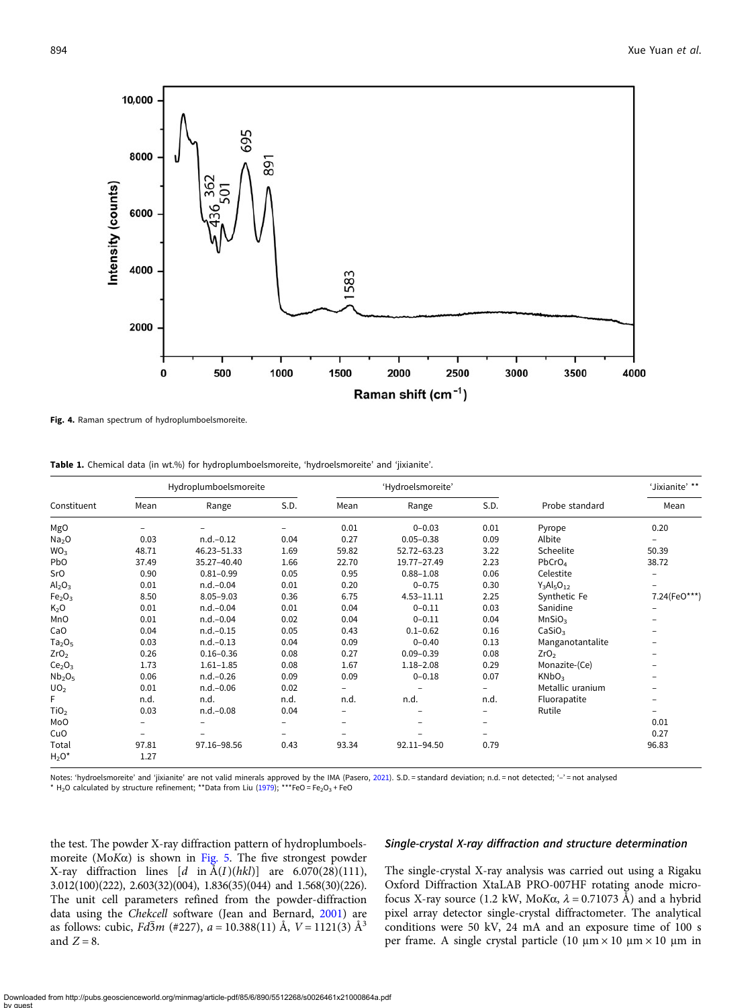<span id="page-4-0"></span>

Fig. 4. Raman spectrum of hydroplumboelsmoreite.

Table 1. Chemical data (in wt.%) for hydroplumboelsmoreite, 'hydroelsmoreite' and 'jixianite'.

|                                | Hydroplumboelsmoreite    |               |      |       | 'Hydroelsmoreite' |      |                    | 'Jixianite' ** |
|--------------------------------|--------------------------|---------------|------|-------|-------------------|------|--------------------|----------------|
| Constituent                    | Mean                     | Range         | S.D. | Mean  | Range             | S.D. | Probe standard     | Mean           |
| MgO                            |                          |               |      | 0.01  | $0 - 0.03$        | 0.01 | Pyrope             | 0.20           |
| Na <sub>2</sub> O              | 0.03                     | $n.d.-0.12$   | 0.04 | 0.27  | $0.05 - 0.38$     | 0.09 | Albite             |                |
| WO <sub>3</sub>                | 48.71                    | 46.23-51.33   | 1.69 | 59.82 | 52.72-63.23       | 3.22 | Scheelite          | 50.39          |
| PbO                            | 37.49                    | 35.27-40.40   | 1.66 | 22.70 | 19.77-27.49       | 2.23 | PbCrO <sub>4</sub> | 38.72          |
| SrO                            | 0.90                     | $0.81 - 0.99$ | 0.05 | 0.95  | $0.88 - 1.08$     | 0.06 | Celestite          |                |
| $\mathsf{Al}_2\mathsf{O}_3$    | 0.01                     | $n.d.-0.04$   | 0.01 | 0.20  | $0 - 0.75$        | 0.30 | $Y_3Al_5O_{12}$    |                |
| Fe <sub>2</sub> O <sub>3</sub> | 8.50                     | $8.05 - 9.03$ | 0.36 | 6.75  | $4.53 - 11.11$    | 2.25 | Synthetic Fe       | 7.24(FeO***)   |
| $K_2O$                         | 0.01                     | $n.d.-0.04$   | 0.01 | 0.04  | $0 - 0.11$        | 0.03 | Sanidine           |                |
| MnO                            | 0.01                     | $n.d.-0.04$   | 0.02 | 0.04  | $0 - 0.11$        | 0.04 | MnSiO <sub>3</sub> |                |
| CaO                            | 0.04                     | $n.d.-0.15$   | 0.05 | 0.43  | $0.1 - 0.62$      | 0.16 | CaSiO <sub>3</sub> |                |
| Ta <sub>2</sub> O <sub>5</sub> | 0.03                     | $n.d.-0.13$   | 0.04 | 0.09  | $0 - 0.40$        | 0.13 | Manganotantalite   |                |
| ZrO <sub>2</sub>               | 0.26                     | $0.16 - 0.36$ | 0.08 | 0.27  | $0.09 - 0.39$     | 0.08 | ZrO <sub>2</sub>   |                |
| Ce <sub>2</sub> O <sub>3</sub> | 1.73                     | $1.61 - 1.85$ | 0.08 | 1.67  | $1.18 - 2.08$     | 0.29 | Monazite-(Ce)      |                |
| Nb <sub>2</sub> O <sub>5</sub> | 0.06                     | $n.d.-0.26$   | 0.09 | 0.09  | $0 - 0.18$        | 0.07 | KNbO <sub>3</sub>  |                |
| UO <sub>2</sub>                | 0.01                     | $n.d.-0.06$   | 0.02 |       |                   |      | Metallic uranium   |                |
| F.                             | n.d.                     | n.d.          | n.d. | n.d.  | n.d.              | n.d. | Fluorapatite       |                |
| TiO <sub>2</sub>               | 0.03                     | $n.d.-0.08$   | 0.04 | -     |                   |      | Rutile             |                |
| MoO                            |                          |               |      |       |                   |      |                    | 0.01           |
| CuO                            | $\overline{\phantom{0}}$ |               |      |       |                   |      |                    | 0.27           |
| Total                          | 97.81                    | 97.16-98.56   | 0.43 | 93.34 | 92.11-94.50       | 0.79 |                    | 96.83          |
| $H_2O^*$                       | 1.27                     |               |      |       |                   |      |                    |                |

Notes: 'hydroelsmoreite' and 'jixianite' are not valid minerals approved by the IMA (Pasero, [2021\)](#page-10-0). S.D. = standard deviation; n.d. = not detected; '–' = not analysed \* H<sub>2</sub>O calculated by structure refinement; \*\*Data from Liu ([1979](#page-10-0)); \*\*\*FeO = Fe<sub>2</sub>O<sub>3</sub> + FeO

the test. The powder X-ray diffraction pattern of hydroplumboelsmoreite (MoK $\alpha$ ) is shown in [Fig. 5.](#page-5-0) The five strongest powder X-ray diffraction lines  $[d \text{ in } \AA(I)(hkl)]$  are  $6.070(28)(111)$ , 3.012(100)(222), 2.603(32)(004), 1.836(35)(044) and 1.568(30)(226). The unit cell parameters refined from the powder-diffraction data using the Chekcell software (Jean and Bernard, [2001](#page-10-0)) are as follows: cubic,  $Fd\bar{3}m$  (#227),  $a = 10.388(11)$  Å,  $V = 1121(3)$  Å<sup>3</sup> and  $Z = 8$ .

# Single-crystal X-ray diffraction and structure determination

The single-crystal X-ray analysis was carried out using a Rigaku Oxford Diffraction XtaLAB PRO-007HF rotating anode microfocus X-ray source (1.2 kW, ΜοΚα,  $\lambda = 0.71073$  Å) and a hybrid pixel array detector single-crystal diffractometer. The analytical conditions were 50 kV, 24 mA and an exposure time of 100 s per frame. A single crystal particle (10 μm × 10 μm × 10 μm in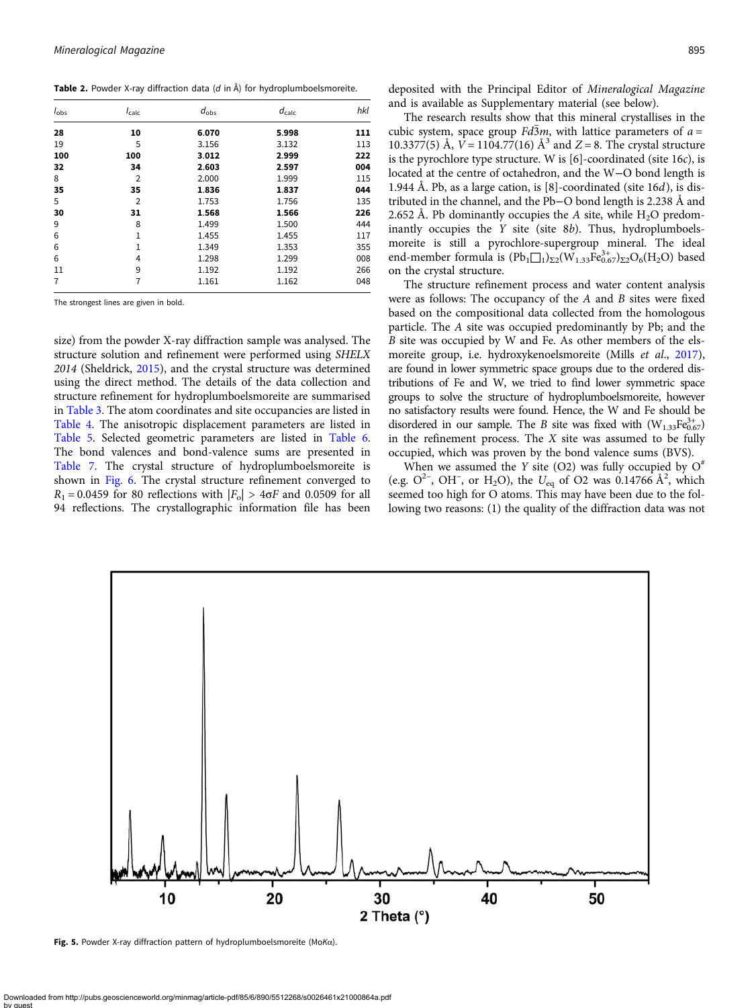<span id="page-5-0"></span>Table 2. Powder X-ray diffraction data (d in Å) for hydroplumboelsmoreite.

| $I_{\rm obs}$ | $I_{calc}$     | $d_{\rm obs}$ | $d_{calc}$ | hkl |
|---------------|----------------|---------------|------------|-----|
| 28            | 10             | 6.070         | 5.998      | 111 |
| 19            | 5              | 3.156         | 3.132      | 113 |
| 100           | 100            | 3.012         | 2.999      | 222 |
| 32            | 34             | 2.603         | 2.597      | 004 |
| 8             | $\overline{2}$ | 2.000         | 1.999      | 115 |
| 35            | 35             | 1.836         | 1.837      | 044 |
| 5             | $\overline{2}$ | 1.753         | 1.756      | 135 |
| 30            | 31             | 1.568         | 1.566      | 226 |
| 9             | 8              | 1.499         | 1.500      | 444 |
| 6             | $\mathbf{1}$   | 1.455         | 1.455      | 117 |
| 6             | 1              | 1.349         | 1.353      | 355 |
| 6             | 4              | 1.298         | 1.299      | 008 |
| 11            | 9              | 1.192         | 1.192      | 266 |
| 7             | 7              | 1.161         | 1.162      | 048 |

The strongest lines are given in bold.

size) from the powder X-ray diffraction sample was analysed. The structure solution and refinement were performed using SHELX 2014 (Sheldrick, [2015\)](#page-10-0), and the crystal structure was determined using the direct method. The details of the data collection and structure refinement for hydroplumboelsmoreite are summarised in [Table 3](#page-6-0). The atom coordinates and site occupancies are listed in [Table 4](#page-6-0). The anisotropic displacement parameters are listed in [Table 5](#page-6-0). Selected geometric parameters are listed in [Table 6.](#page-6-0) The bond valences and bond-valence sums are presented in [Table 7](#page-6-0). The crystal structure of hydroplumboelsmoreite is shown in [Fig. 6](#page-7-0). The crystal structure refinement converged to  $R_1 = 0.0459$  for 80 reflections with  $|F_0| > 4\sigma F$  and 0.0509 for all 94 reflections. The crystallographic information file has been

deposited with the Principal Editor of Mineralogical Magazine and is available as Supplementary material (see below).

The research results show that this mineral crystallises in the cubic system, space group  $Fd\overline{3}m$ , with lattice parameters of  $a =$ 10.3377(5) Å,  $V = 1104.77(16)$  Å<sup>3</sup> and  $Z = 8$ . The crystal structure is the pyrochlore type structure. W is  $[6]$ -coordinated (site 16*c*), is located at the centre of octahedron, and the W−O bond length is 1.944 Å. Pb, as a large cation, is  $[8]$ -coordinated (site 16*d*), is distributed in the channel, and the Pb−O bond length is 2.238 Å and 2.652 Å. Pb dominantly occupies the A site, while  $H_2O$  predominantly occupies the Y site (site 8b). Thus, hydroplumboelsmoreite is still a pyrochlore-supergroup mineral. The ideal end-member formula is  $(Pb_1 \Box_1)_{\Sigma_2} (W_{1,33}Fe_{0,67}^{3+})_{\Sigma_2} O_6(H_2O)$  based on the crystal structure.

The structure refinement process and water content analysis were as follows: The occupancy of the  $A$  and  $B$  sites were fixed based on the compositional data collected from the homologous particle. The A site was occupied predominantly by Pb; and the B site was occupied by W and Fe. As other members of the elsmoreite group, i.e. hydroxykenoelsmoreite (Mills et al., [2017](#page-10-0)), are found in lower symmetric space groups due to the ordered distributions of Fe and W, we tried to find lower symmetric space groups to solve the structure of hydroplumboelsmoreite, however no satisfactory results were found. Hence, the W and Fe should be disordered in our sample. The B site was fixed with  $(W_{1,33}Fe_{0.67}^{3+})$ in the refinement process. The  $X$  site was assumed to be fully occupied, which was proven by the bond valence sums (BVS).

When we assumed the Y site (O2) was fully occupied by  $O^*$ (e.g.  $O^{2-}$ , OH<sup>-</sup>, or H<sub>2</sub>O), the  $U_{\text{eq}}$  of O2 was 0.14766 Å<sup>2</sup>, which seemed too high for O atoms. This may have been due to the following two reasons: (1) the quality of the diffraction data was not



Fig. 5. Powder X-ray diffraction pattern of hydroplumboelsmoreite (MoK $\alpha$ ).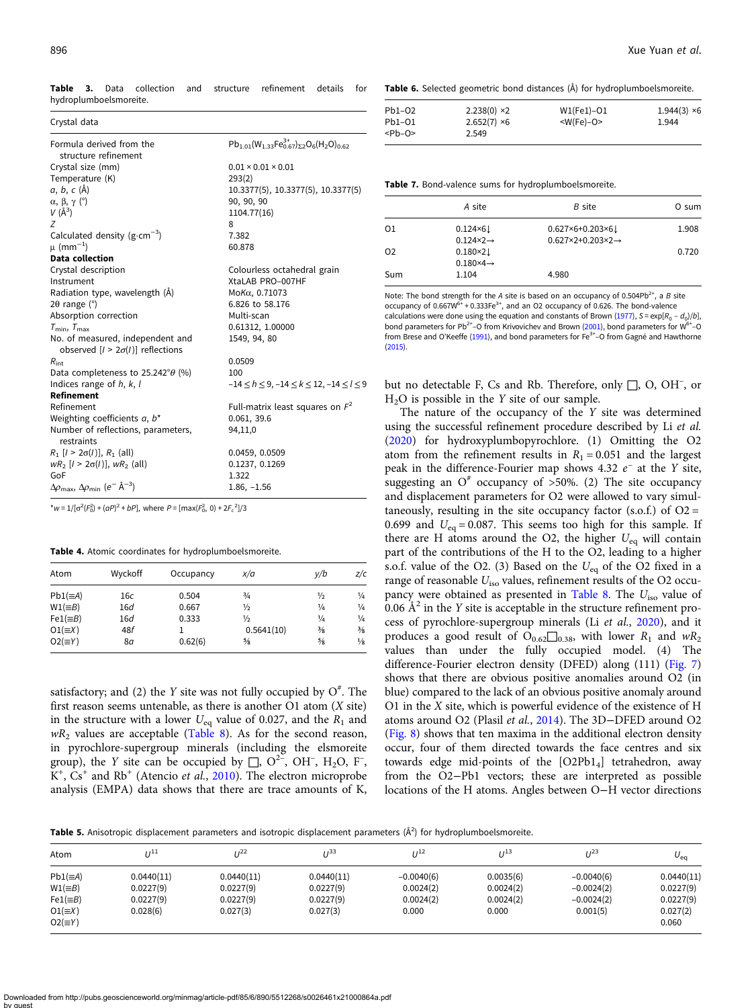<span id="page-6-0"></span>

|  |                        |  | <b>Table 3.</b> Data collection and structure refinement details for |  |
|--|------------------------|--|----------------------------------------------------------------------|--|
|  | hydroplumboelsmoreite. |  |                                                                      |  |

| Crystal data                                                                              |                                                          |
|-------------------------------------------------------------------------------------------|----------------------------------------------------------|
| Formula derived from the<br>structure refinement                                          | $Pb_{1,01}(W_{1,33}Fe_{0,67}^{3+})_{52}O_6(H_2O)_{0,62}$ |
| Crystal size (mm)                                                                         | $0.01 \times 0.01 \times 0.01$                           |
| Temperature (K)                                                                           | 293(2)                                                   |
| $a, b, c (\AA)$                                                                           | 10.3377(5), 10.3377(5), 10.3377(5)                       |
| $\alpha$ , $\beta$ , $\gamma$ (°)                                                         | 90, 90, 90                                               |
| $V(\AA^3)$                                                                                | 1104.77(16)                                              |
| Ζ                                                                                         | 8                                                        |
| Calculated density ( $g \cdot cm^{-3}$ )                                                  | 7.382                                                    |
| $\mu$ (mm <sup>-1</sup> )                                                                 | 60.878                                                   |
| Data collection                                                                           |                                                          |
| Crystal description                                                                       | Colourless octahedral grain                              |
| Instrument                                                                                | XtaLAB PRO-007HF                                         |
| Radiation type, wavelength (A)                                                            | Mo <sub>Kα</sub> , 0.71073                               |
| $2\theta$ range ( $\degree$ )                                                             | 6.826 to 58.176                                          |
| Absorption correction                                                                     | Multi-scan                                               |
| $T_{\min}, T_{\max}$                                                                      | 0.61312, 1.00000                                         |
| No. of measured, independent and<br>observed $[1 > 2\sigma(1)]$ reflections               | 1549, 94, 80                                             |
| $R_{\text{int}}$                                                                          | 0.0509                                                   |
| Data completeness to 25.242° $\theta$ (%)                                                 | 100                                                      |
| Indices range of $h, k, l$                                                                | $-14 \le h \le 9, -14 \le k \le 12, -14 \le l \le 9$     |
| <b>Refinement</b>                                                                         |                                                          |
| Refinement                                                                                | Full-matrix least squares on $F^2$                       |
| Weighting coefficients $a, b^*$                                                           | 0.061, 39.6                                              |
| Number of reflections, parameters,<br>restraints                                          | 94,11,0                                                  |
| $R_1$ [ $l > 2\sigma(l)$ ], $R_1$ (all)                                                   | 0.0459, 0.0509                                           |
| $WR_2$ [ $l > 2\sigma(l)$ ], $WR_2$ (all)                                                 | 0.1237, 0.1269                                           |
| GoF                                                                                       | 1.322                                                    |
| $\Delta\rho_{\rm max}$ , $\Delta\rho_{\rm min}$ (e <sup>-<math>\rm \AA^{-3})</math></sup> | $1.86, -1.56$                                            |

\*w =  $1/[\sigma^2(F_0^2) + (aP)^2 + bP]$ , where  $P = [\max(F_0^2, 0) + 2F_c^2]/3$ 

Table 4. Atomic coordinates for hydroplumboelsmoreite.

| Atom            | Wyckoff | Occupancy | x/a           | y/b           | z/c           |
|-----------------|---------|-----------|---------------|---------------|---------------|
| $Pb1(\equiv A)$ | 16c     | 0.504     | $\frac{3}{4}$ | ⅓             | $\frac{1}{4}$ |
| $W1(\equiv B)$  | 16d     | 0.667     | $\frac{1}{2}$ | $\frac{1}{4}$ | $\frac{1}{4}$ |
| $Fe1(\equiv B)$ | 16d     | 0.333     | $\frac{1}{2}$ | 1/4           | $\frac{1}{4}$ |
| $O1(\equiv X)$  | 48f     |           | 0.5641(10)    | $\frac{3}{8}$ | $\frac{3}{8}$ |
| $O2(\equiv Y)$  | 8а      | 0.62(6)   | $\frac{5}{8}$ | $\frac{5}{8}$ | $\frac{1}{8}$ |

satisfactory; and (2) the Y site was not fully occupied by  $O^*$ . The first reason seems untenable, as there is another  $O1$  atom  $(X$  site) in the structure with a lower  $U_{\text{eq}}$  value of 0.027, and the  $R_1$  and  $wR_2$  values are acceptable [\(Table 8\)](#page-7-0). As for the second reason, in pyrochlore-supergroup minerals (including the elsmoreite group), the Y site can be occupied by  $\Box$ ,  $O^{2}$ , OH<sup>-</sup>, H<sub>2</sub>O, F<sup>-</sup>,  $K^+$ ,  $Cs^+$  and  $Rb^+$  (Atencio *et al.*, [2010](#page-10-0)). The electron microprobe analysis (EMPA) data shows that there are trace amounts of K,

Table 6. Selected geometric bond distances (Å) for hydroplumboelsmoreite.

| Pb1-02   | $2.238(0)$ ×2 | $W1(Fe1)-O1$              | $1.944(3) \times 6$ |
|----------|---------------|---------------------------|---------------------|
| $Pb1-01$ | $2.652(7)$ ×6 | $\langle W(Fe)-O \rangle$ | 1.944               |
| $Pb-0$   | 2.549         |                           |                     |

Table 7. Bond-valence sums for hydroplumboelsmoreite.

|     | A site                       | B site                                        | O sum |
|-----|------------------------------|-----------------------------------------------|-------|
| 01  | $0.124\times 61$             | $0.627 \times 6 + 0.203 \times 61$            | 1.908 |
|     | $0.124 \times 2 \rightarrow$ | $0.627 \times 2 + 0.203 \times 2 \rightarrow$ |       |
| 02  | $0.180 \times 21$            |                                               | 0.720 |
|     | $0.180\times4\rightarrow$    |                                               |       |
| Sum | 1.104                        | 4.980                                         |       |
|     |                              |                                               |       |

Note: The bond strength for the A site is based on an occupancy of 0.504Pb<sup>2+</sup>, a B site occupancy of  $0.667W^{6+}$  +  $0.333Fe^{3+}$ , and an O2 occupancy of 0.626. The bond-valence calculations were done using the equation and constants of Brown [\(1977](#page-10-0)),  $S = \exp[R_0 - d_0]/b]$ , bond parameters for Pb<sup>2+</sup>–O from Krivovichev and Brown ([2001](#page-10-0)), bond parameters for W<sup>6+</sup>–O from Brese and O'Keeffe ([1991](#page-10-0)), and bond parameters for Fe $3+$ –O from Gagné and Hawthorne [\(2015\)](#page-10-0).

but no detectable F, Cs and Rb. Therefore, only □, O, OH<sup>-</sup>, or  $H<sub>2</sub>O$  is possible in the Y site of our sample.

The nature of the occupancy of the Y site was determined using the successful refinement procedure described by Li et al. ([2020\)](#page-10-0) for hydroxyplumbopyrochlore. (1) Omitting the O2 atom from the refinement results in  $R_1 = 0.051$  and the largest peak in the difference-Fourier map shows 4.32  $e^-$  at the Y site, suggesting an  $O^*$  occupancy of >50%. (2) The site occupancy and displacement parameters for O2 were allowed to vary simultaneously, resulting in the site occupancy factor (s.o.f.) of  $O2 =$ 0.699 and  $U_{\text{eq}} = 0.087$ . This seems too high for this sample. If there are H atoms around the O2, the higher  $U_{eq}$  will contain part of the contributions of the H to the O2, leading to a higher s.o.f. value of the O2. (3) Based on the  $U_{eq}$  of the O2 fixed in a range of reasonable  $U_{\text{iso}}$  values, refinement results of the O2 occu-pancy were obtained as presented in [Table 8](#page-7-0). The  $U_{\text{iso}}$  value of 0.06  $\AA^2$  in the Y site is acceptable in the structure refinement process of pyrochlore-supergroup minerals (Li et al., [2020\)](#page-10-0), and it produces a good result of O<sub>0.62</sub> $\square$ <sub>0.38</sub>, with lower R<sub>1</sub> and wR<sub>2</sub> values than under the fully occupied model. (4) The difference-Fourier electron density (DFED) along (111) [\(Fig. 7](#page-7-0)) shows that there are obvious positive anomalies around O2 (in blue) compared to the lack of an obvious positive anomaly around O1 in the X site, which is powerful evidence of the existence of H atoms around O2 (Plasil et al., [2014\)](#page-10-0). The 3D−DFED around O2 ([Fig. 8\)](#page-7-0) shows that ten maxima in the additional electron density occur, four of them directed towards the face centres and six towards edge mid-points of the  $[O2Pb1_4]$  tetrahedron, away from the O2−Pb1 vectors; these are interpreted as possible locations of the H atoms. Angles between O−H vector directions

Table 5. Anisotropic displacement parameters and isotropic displacement parameters ( $\hat{A}^2$ ) for hydroplumboelsmoreite.

| Atom                             | $11^{11}$  | 122        | $11^{33}$  | $U^{12}$     | 113       | $11^{23}$    | $U_{\rm ea}$      |
|----------------------------------|------------|------------|------------|--------------|-----------|--------------|-------------------|
| $Pb1(\equiv A)$                  | 0.0440(11) | 0.0440(11) | 0.0440(11) | $-0.0040(6)$ | 0.0035(6) | $-0.0040(6)$ | 0.0440(11)        |
| $W1(\equiv B)$                   | 0.0227(9)  | 0.0227(9)  | 0.0227(9)  | 0.0024(2)    | 0.0024(2) | $-0.0024(2)$ | 0.0227(9)         |
| $Fe1(\equiv B)$                  | 0.0227(9)  | 0.0227(9)  | 0.0227(9)  | 0.0024(2)    | 0.0024(2) | $-0.0024(2)$ | 0.0227(9)         |
| $O1(\equiv X)$<br>$O2(\equiv Y)$ | 0.028(6)   | 0.027(3)   | 0.027(3)   | 0.000        | 0.000     | 0.001(5)     | 0.027(2)<br>0.060 |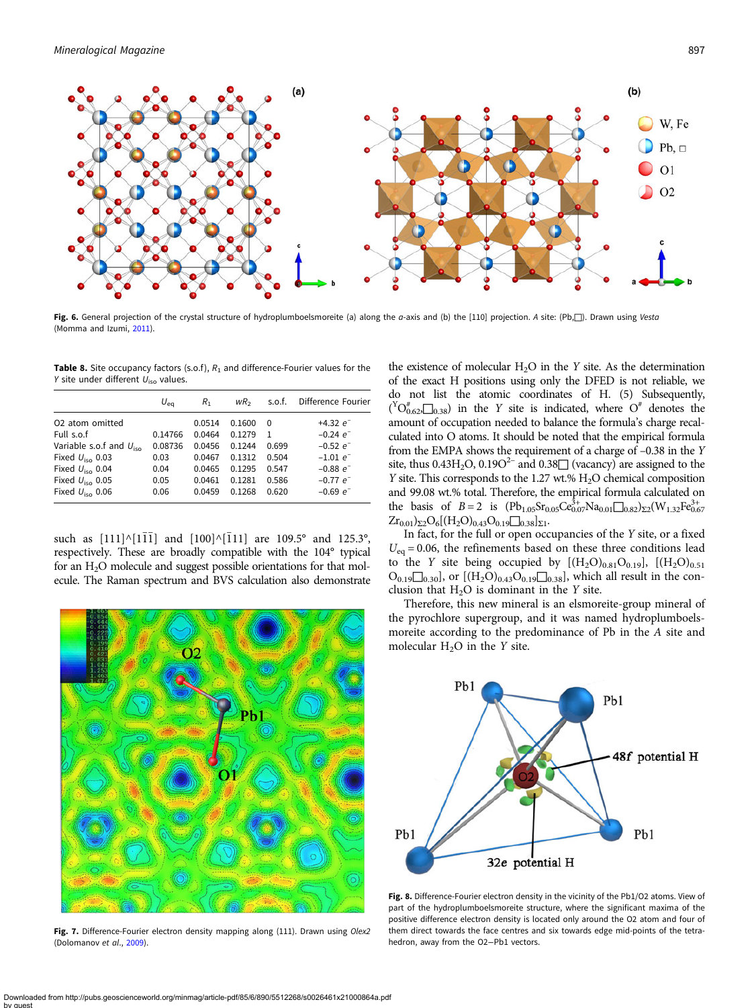<span id="page-7-0"></span>

Fig. 6. General projection of the crystal structure of hydroplumboelsmoreite (a) along the a-axis and (b) the [110] projection. A site: (Pb, $\Box$ ). Drawn using Vesta (Momma and Izumi, [2011](#page-10-0)).

Table 8. Site occupancy factors (s.o.f),  $R_1$  and difference-Fourier values for the Y site under different  $U_{\text{iso}}$  values.

|                                     | $U_{\rm ea}$ | $R_1$  | wR <sub>2</sub> | s.o.f. | Difference Fourier |
|-------------------------------------|--------------|--------|-----------------|--------|--------------------|
| 02 atom omitted                     |              | 0.0514 | 0.1600          | 0      | $+4.32 e^-$        |
| Full s.o.f                          | 0.14766      | 0.0464 | 0.1279          |        | $-0.24 e^{-}$      |
| Variable s.o.f and $U_{\text{iso}}$ | 0.08736      | 0.0456 | 0.1244          | 0.699  | $-0.52 e^{-}$      |
| Fixed $Uiso$ 0.03                   | 0.03         | 0.0467 | 0.1312          | 0.504  | $-1.01 e^{-}$      |
| Fixed $Uiso 0.04$                   | 0.04         | 0.0465 | 0.1295          | 0.547  | $-0.88 e^{-}$      |
| Fixed $Uiso$ 0.05                   | 0.05         | 0.0461 | 0.1281          | 0.586  | $-0.77 e^{-}$      |
| Fixed $Uiso 0.06$                   | 0.06         | 0.0459 | 0.1268          | 0.620  | $-0.69 e^{-}$      |

such as  $[111]\wedge[1\overline{1}\overline{1}]$  and  $[100]\wedge[\overline{1}11]$  are 109.5° and 125.3°, respectively. These are broadly compatible with the 104° typical for an H2O molecule and suggest possible orientations for that molecule. The Raman spectrum and BVS calculation also demonstrate



Fig. 7. Difference-Fourier electron density mapping along (111). Drawn using Olex2 (Dolomanov et al., [2009](#page-10-0)).

the existence of molecular  $H_2O$  in the Y site. As the determination of the exact H positions using only the DFED is not reliable, we do not list the atomic coordinates of H. (5) Subsequently,  $({}^{\text{Y}}O_{0.62}^{\#}$ ,  $\Box_{0.38})$  in the Y site is indicated, where  $O^*$  denotes the amount of occupation needed to balance the formula's charge recalculated into O atoms. It should be noted that the empirical formula from the EMPA shows the requirement of a charge of –0.38 in the Y site, thus  $0.43H_2O$ ,  $0.19O^{2-}$  and  $0.38\Box$  (vacancy) are assigned to the Y site. This corresponds to the 1.27 wt.% H<sub>2</sub>O chemical composition and 99.08 wt.% total. Therefore, the empirical formula calculated on the basis of  $B = 2$  is  $(Pb_{1.05}Sr_{0.05}Ce_{0.07}^{3+}Na_{0.01}\square_{0.82})_{\Sigma2}(W_{1.32}Fe_{0.67}^{3+})$ Zr<sub>0.01</sub>)<sub>Σ2</sub>O<sub>6</sub>[(H<sub>2</sub>O)<sub>0.43</sub>O<sub>0.19</sub> $\Box$ <sub>0.38</sub>]<sub>Σ1</sub>.

In fact, for the full or open occupancies of the Y site, or a fixed  $U_{\text{eq}}$  = 0.06, the refinements based on these three conditions lead to the Y site being occupied by  $[(H_2O)_{0.81}O_{0.19}]$ ,  $[(H_2O)_{0.51}$  $O_{0.19}$  $\Box_{0.30}$ ], or  $[(H_2O)_{0.43}O_{0.19}$  $\Box_{0.38}]$ , which all result in the conclusion that  $H_2O$  is dominant in the Y site.

Therefore, this new mineral is an elsmoreite-group mineral of the pyrochlore supergroup, and it was named hydroplumboelsmoreite according to the predominance of Pb in the A site and molecular  $H_2O$  in the Y site.



Fig. 8. Difference-Fourier electron density in the vicinity of the Pb1/O2 atoms. View of part of the hydroplumboelsmoreite structure, where the significant maxima of the positive difference electron density is located only around the O2 atom and four of them direct towards the face centres and six towards edge mid-points of the tetrahedron, away from the O2−Pb1 vectors.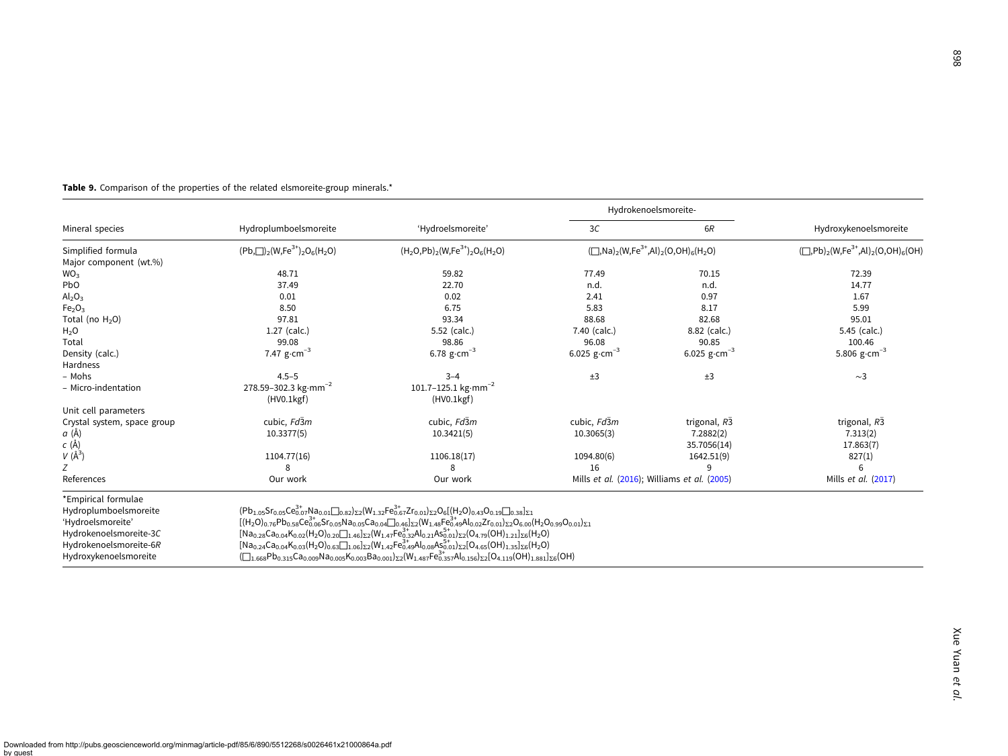|                                |                                                 |                                                                                                                                                                                                                                                                           |                         | Hydrokenoelsmoreite-                                                                                                            |                                               |  |
|--------------------------------|-------------------------------------------------|---------------------------------------------------------------------------------------------------------------------------------------------------------------------------------------------------------------------------------------------------------------------------|-------------------------|---------------------------------------------------------------------------------------------------------------------------------|-----------------------------------------------|--|
| Mineral species                | Hydroplumboelsmoreite                           | 'Hydroelsmoreite'                                                                                                                                                                                                                                                         | 3C                      | 6R                                                                                                                              | Hydroxykenoelsmoreite                         |  |
| Simplified formula             | $(Pb, \Box)_{2} (W, Fe^{3+})_{2} O_{6}(H_{2}O)$ | $(H_2O, Pb)_2(W, Fe^{3+})_2O_6(H_2O)$                                                                                                                                                                                                                                     |                         | $(\Box, \mathrm{Na})_{2}(\mathrm{W}, \mathrm{Fe}^{3+}, \mathrm{Al})_{2}(\mathrm{O}, \mathrm{OH})_{6}(\mathrm{H}_{2}\mathrm{O})$ | $(\Box, Pb)_2(W, Fe^{3+}, Al)_2(O, OH)_6(OH)$ |  |
| Major component (wt.%)         |                                                 |                                                                                                                                                                                                                                                                           |                         |                                                                                                                                 |                                               |  |
| WO <sub>3</sub>                | 48.71                                           | 59.82                                                                                                                                                                                                                                                                     | 77.49                   | 70.15                                                                                                                           | 72.39                                         |  |
| PbO                            | 37.49                                           | 22.70                                                                                                                                                                                                                                                                     | n.d.                    | n.d.                                                                                                                            | 14.77                                         |  |
| Al <sub>2</sub> O <sub>3</sub> | 0.01                                            | 0.02                                                                                                                                                                                                                                                                      | 2.41                    | 0.97                                                                                                                            | 1.67                                          |  |
| Fe <sub>2</sub> O <sub>3</sub> | 8.50                                            | 6.75                                                                                                                                                                                                                                                                      | 5.83                    | 8.17                                                                                                                            | 5.99                                          |  |
| Total (no $H_2O$ )             | 97.81                                           | 93.34                                                                                                                                                                                                                                                                     | 88.68                   | 82.68                                                                                                                           | 95.01                                         |  |
| H <sub>2</sub> O               | 1.27 (calc.)                                    | 5.52 (calc.)                                                                                                                                                                                                                                                              | 7.40 (calc.)            | 8.82 (calc.)                                                                                                                    | 5.45 (calc.)                                  |  |
| Total                          | 99.08                                           | 98.86                                                                                                                                                                                                                                                                     | 96.08                   | 90.85                                                                                                                           | 100.46                                        |  |
| Density (calc.)                | 7.47 $g \cdot cm^{-3}$                          | 6.78 $g \cdot cm^{-3}$                                                                                                                                                                                                                                                    | 6.025 $g \cdot cm^{-3}$ | 6.025 $g \cdot cm^{-3}$                                                                                                         | 5.806 $g \cdot cm^{-3}$                       |  |
| Hardness                       |                                                 |                                                                                                                                                                                                                                                                           |                         |                                                                                                                                 |                                               |  |
| - Mohs                         | $4.5 - 5$                                       | $3 - 4$                                                                                                                                                                                                                                                                   | ±3                      | ±3                                                                                                                              | $\sim$ 3                                      |  |
| - Micro-indentation            | 278.59-302.3 kg·mm <sup>-2</sup><br>(HVO.1kgf)  | 101.7-125.1 kg·mm <sup>-2</sup><br>(HVO.1kgf)                                                                                                                                                                                                                             |                         |                                                                                                                                 |                                               |  |
| Unit cell parameters           |                                                 |                                                                                                                                                                                                                                                                           |                         |                                                                                                                                 |                                               |  |
| Crystal system, space group    | cubic, Fd3m                                     | cubic, Fd3m                                                                                                                                                                                                                                                               | cubic, Fd3m             | trigonal, $R\bar{3}$                                                                                                            | trigonal, R3                                  |  |
| $a(\AA)$                       | 10.3377(5)                                      | 10.3421(5)                                                                                                                                                                                                                                                                | 10.3065(3)              | 7.2882(2)                                                                                                                       | 7.313(2)                                      |  |
| $c(\AA)$                       |                                                 |                                                                                                                                                                                                                                                                           |                         | 35.7056(14)                                                                                                                     | 17.863(7)                                     |  |
| $V(\AA^3)$                     | 1104.77(16)                                     | 1106.18(17)                                                                                                                                                                                                                                                               | 1094.80(6)              | 1642.51(9)                                                                                                                      | 827(1)                                        |  |
| Ζ                              |                                                 | 8                                                                                                                                                                                                                                                                         | 16                      |                                                                                                                                 | 6                                             |  |
| References                     | Our work                                        | Our work                                                                                                                                                                                                                                                                  |                         | Mills et al. (2016); Williams et al. (2005)                                                                                     | Mills et al. (2017)                           |  |
| *Empirical formulae            |                                                 |                                                                                                                                                                                                                                                                           |                         |                                                                                                                                 |                                               |  |
| Hydroplumboelsmoreite          |                                                 | $(\mathsf{Pb}_{1.05}\mathsf{Sr}_{0.05}\mathsf{Ce}_{0.07}^{3+}\mathsf{Na}_{0.01}\square_{0.82})_{\Sigma2}(\mathsf{W}_{1.32}\mathsf{Fe}_{0.67}^{3+}\mathsf{Zr}_{0.01})_{\Sigma2}\mathsf{O}_{6}[(\mathsf{H}_{2}\mathsf{O})_{0.43}\mathsf{O}_{0.19}\square_{0.38}]_{\Sigma1}$ |                         |                                                                                                                                 |                                               |  |
| 'Hydroelsmoreite'              |                                                 | $[(H_2O)_{0.76}Pb_{0.58}Ce_{0.06}^{3+}Sr_{0.05}Na_{0.05}Ca_{0.04}\square_{0.46}]_{\Sigma2}(W_{1.48}Fe_{0.49}^{3+}Al_{0.02}Zr_{0.01})_{\Sigma2}O_{6.00}(H_2O_{0.99}O_{0.01})_{\Sigma1}$                                                                                    |                         |                                                                                                                                 |                                               |  |
| Hydrokenoelsmoreite-3C         |                                                 | $[Na_{0.28}Ca_{0.04}K_{0.02}(H_2O)_{0.20}\square_{1.46}]_{\Sigma2}(W_{1.47}Fe_{0.32}^{3+}Al_{0.21}As_{0.01}^{5+})_{\Sigma2}(O_{4.79}(OH)_{1.21}]_{\Sigma6}(H_2O)$                                                                                                         |                         |                                                                                                                                 |                                               |  |
| Hydrokenoelsmoreite-6R         |                                                 | $[Na_{0.24}Ca_{0.04}K_{0.03}(H_2O)_{0.63}]$ $I_{1.06}$ $I_{\Sigma2}(W_{1.42}Fe_{0.49}^{3+}Al_{0.08}As_{0.01}^{5+})$ $I_{\Sigma2}[O_{4.65}(OH)_{1.35}]$ $I_{\Sigma6}(H_2O)$                                                                                                |                         |                                                                                                                                 |                                               |  |

<span id="page-8-0"></span>Table 9. Comparison of the properties of the related elsmoreite-group minerals.\*

 $H$ ydroxykenoelsmoreite  $(\Box_{1.668}Pb_{0.315}Ca_{0.009}Na_{0.005}K_{0.003}Ba_{0.001})_{\Sigma}$ (W<sub>1.487</sub>Fe $_{0.357}^{34}A_{0.156}S_{25}[O_{4.119}(OH)]_{1.881}$ ]<sub>Σ6</sub>(OH)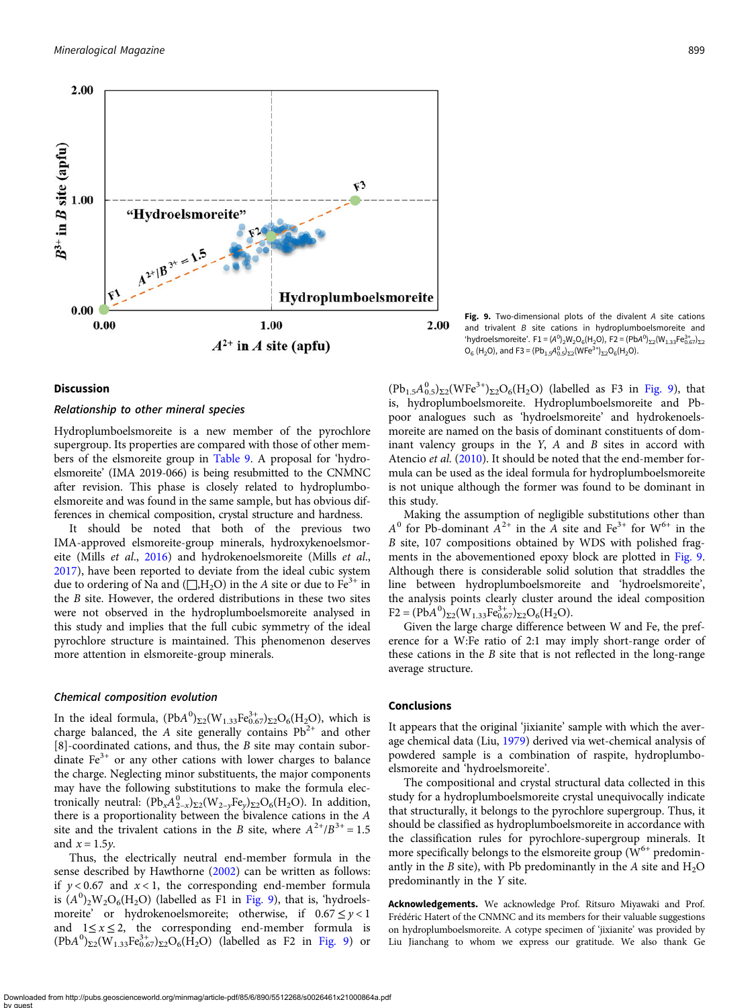

#### Fig. 9. Two-dimensional plots of the divalent A site cations and trivalent B site cations in hydroplumboelsmoreite and 'hydroelsmoreite'.  $F1 = (A^0)_2 W_2 O_6 (H_2 O)$ ,  $F2 = (PbA^0)_{\Sigma 2} (W_{1.33} Fe_{0.67}^{3+})_{\Sigma 2}$  $O_6$  (H<sub>2</sub>O), and F3 = (Pb<sub>1.5</sub> $A_{0.5}^0$ )<sub> $\Sigma$ 2</sub>(WFe<sup>3+</sup>)<sub> $\Sigma$ 2</sub>O<sub>6</sub>(H<sub>2</sub>O).

#### Discussion

#### Relationship to other mineral species

Hydroplumboelsmoreite is a new member of the pyrochlore supergroup. Its properties are compared with those of other members of the elsmoreite group in [Table 9](#page-8-0). A proposal for 'hydroelsmoreite' (IMA 2019-066) is being resubmitted to the CNMNC after revision. This phase is closely related to hydroplumboelsmoreite and was found in the same sample, but has obvious differences in chemical composition, crystal structure and hardness.

It should be noted that both of the previous two IMA-approved elsmoreite-group minerals, hydroxykenoelsmoreite (Mills et al., [2016](#page-10-0)) and hydrokenoelsmoreite (Mills et al., [2017\)](#page-10-0), have been reported to deviate from the ideal cubic system due to ordering of Na and ( $\Box$ , H<sub>2</sub>O) in the A site or due to Fe<sup>3+</sup> in the B site. However, the ordered distributions in these two sites were not observed in the hydroplumboelsmoreite analysed in this study and implies that the full cubic symmetry of the ideal pyrochlore structure is maintained. This phenomenon deserves more attention in elsmoreite-group minerals.

#### Chemical composition evolution

In the ideal formula,  $(PbA^0)_{\Sigma2}(W_{1.33}Fe_{0.67}^{3+})_{\Sigma2}O_6(H_2O)$ , which is charge balanced, the A site generally contains  $Pb^{2+}$  and other [8]-coordinated cations, and thus, the B site may contain subordinate  $Fe<sup>3+</sup>$  or any other cations with lower charges to balance the charge. Neglecting minor substituents, the major components may have the following substitutions to make the formula electronically neutral:  $(Pb_xA_{2-x}^0)_{\Sigma_2}(W_{2-y}Fe_y)_{\Sigma_2}O_6(H_2O)$ . In addition, there is a proportionality between the bivalence cations in the A site and the trivalent cations in the B site, where  $A^{2+}/B^{3+} = 1.5$ and  $x = 1.5y$ .

Thus, the electrically neutral end-member formula in the sense described by Hawthorne ([2002\)](#page-10-0) can be written as follows: if  $y < 0.67$  and  $x < 1$ , the corresponding end-member formula is  $(A^0)_2W_2O_6(H_2O)$  (labelled as F1 in Fig. 9), that is, 'hydroelsmoreite' or hydrokenoelsmoreite; otherwise, if  $0.67 \le y < 1$ and  $1 \le x \le 2$ , the corresponding end-member formula is  $(PbA<sup>0</sup>)_{\Sigma2} (W_{1,33}Fe_{0,67}^{3+})_{\Sigma2} O_6(H_2O)$  (labelled as F2 in Fig. 9) or

 $(Pb_{1.5}A_{0.5}^{0})_{\Sigma2} (WFe^{3+})_{\Sigma2}O_6(H_2O)$  (labelled as F3 in Fig. 9), that is, hydroplumboelsmoreite. Hydroplumboelsmoreite and Pbpoor analogues such as 'hydroelsmoreite' and hydrokenoelsmoreite are named on the basis of dominant constituents of dominant valency groups in the Y, A and B sites in accord with Atencio et al. ([2010\)](#page-10-0). It should be noted that the end-member formula can be used as the ideal formula for hydroplumboelsmoreite is not unique although the former was found to be dominant in this study.

Making the assumption of negligible substitutions other than  $A^0$  for Pb-dominant  $A^{2+}$  in the A site and Fe<sup>3+</sup> for W<sup>6+</sup> in the B site, 107 compositions obtained by WDS with polished fragments in the abovementioned epoxy block are plotted in Fig. 9. Although there is considerable solid solution that straddles the line between hydroplumboelsmoreite and 'hydroelsmoreite', the analysis points clearly cluster around the ideal composition  $F2 = (PbA<sup>0</sup>)_{\Sigma2} (W_{1,33}Fe_{0.67}^{3+})_{\Sigma2} O_6(H_2O).$ 

Given the large charge difference between W and Fe, the preference for a W:Fe ratio of 2:1 may imply short-range order of these cations in the B site that is not reflected in the long-range average structure.

#### Conclusions

It appears that the original 'jixianite' sample with which the average chemical data (Liu, [1979](#page-10-0)) derived via wet-chemical analysis of powdered sample is a combination of raspite, hydroplumboelsmoreite and 'hydroelsmoreite'.

The compositional and crystal structural data collected in this study for a hydroplumboelsmoreite crystal unequivocally indicate that structurally, it belongs to the pyrochlore supergroup. Thus, it should be classified as hydroplumboelsmoreite in accordance with the classification rules for pyrochlore-supergroup minerals. It more specifically belongs to the elsmoreite group  $(W^{6+}$  predominantly in the B site), with Pb predominantly in the A site and  $H_2O$ predominantly in the Y site.

Acknowledgements. We acknowledge Prof. Ritsuro Miyawaki and Prof. Frédéric Hatert of the CNMNC and its members for their valuable suggestions on hydroplumboelsmoreite. A cotype specimen of 'jixianite' was provided by Liu Jianchang to whom we express our gratitude. We also thank Ge